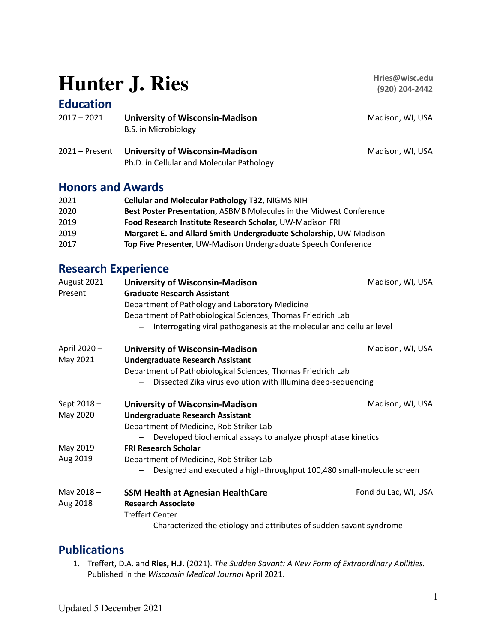# **Hunter J. Ries**

## **Education**

| $2017 - 2021$    | <b>University of Wisconsin-Madison</b><br>B.S. in Microbiology | Madison, WI, USA |
|------------------|----------------------------------------------------------------|------------------|
| $2021 -$ Present | <b>University of Wisconsin-Madison</b>                         | Madison, WI, USA |

## **Honors and Awards**

| 2021 | <b>Cellular and Molecular Pathology T32, NIGMS NIH</b>              |
|------|---------------------------------------------------------------------|
| 2020 | Best Poster Presentation, ASBMB Molecules in the Midwest Conference |
| 2019 | Food Research Institute Research Scholar, UW-Madison FRI            |
| 2019 | Margaret E. and Allard Smith Undergraduate Scholarship, UW-Madison  |
| 2017 | Top Five Presenter, UW-Madison Undergraduate Speech Conference      |

Ph.D. in Cellular and Molecular Pathology

## **Research Experience**

| August 2021- | <b>University of Wisconsin-Madison</b>                                | Madison, WI, USA     |  |
|--------------|-----------------------------------------------------------------------|----------------------|--|
| Present      | <b>Graduate Research Assistant</b>                                    |                      |  |
|              | Department of Pathology and Laboratory Medicine                       |                      |  |
|              | Department of Pathobiological Sciences, Thomas Friedrich Lab          |                      |  |
|              | Interrogating viral pathogenesis at the molecular and cellular level  |                      |  |
| April 2020 - | <b>University of Wisconsin-Madison</b>                                | Madison, WI, USA     |  |
| May 2021     | <b>Undergraduate Research Assistant</b>                               |                      |  |
|              | Department of Pathobiological Sciences, Thomas Friedrich Lab          |                      |  |
|              | Dissected Zika virus evolution with Illumina deep-sequencing          |                      |  |
| Sept 2018-   | <b>University of Wisconsin-Madison</b>                                | Madison, WI, USA     |  |
| May 2020     | <b>Undergraduate Research Assistant</b>                               |                      |  |
|              | Department of Medicine, Rob Striker Lab                               |                      |  |
|              | Developed biochemical assays to analyze phosphatase kinetics          |                      |  |
| May 2019-    | <b>FRI Research Scholar</b>                                           |                      |  |
| Aug 2019     | Department of Medicine, Rob Striker Lab                               |                      |  |
|              | Designed and executed a high-throughput 100,480 small-molecule screen |                      |  |
| May $2018 -$ | <b>SSM Health at Agnesian HealthCare</b>                              | Fond du Lac, WI, USA |  |
| Aug 2018     | <b>Research Associate</b>                                             |                      |  |
|              | <b>Treffert Center</b>                                                |                      |  |
|              | Characterized the etiology and attributes of sudden savant syndrome   |                      |  |

## **Publications**

1. Treffert, D.A. and **Ries, H.J.** (2021). *The Sudden Savant: A New Form of Extraordinary Abilities.* Published in the *Wisconsin Medical Journal* April 2021.

**Hries@wisc.edu (920) 204-2442**